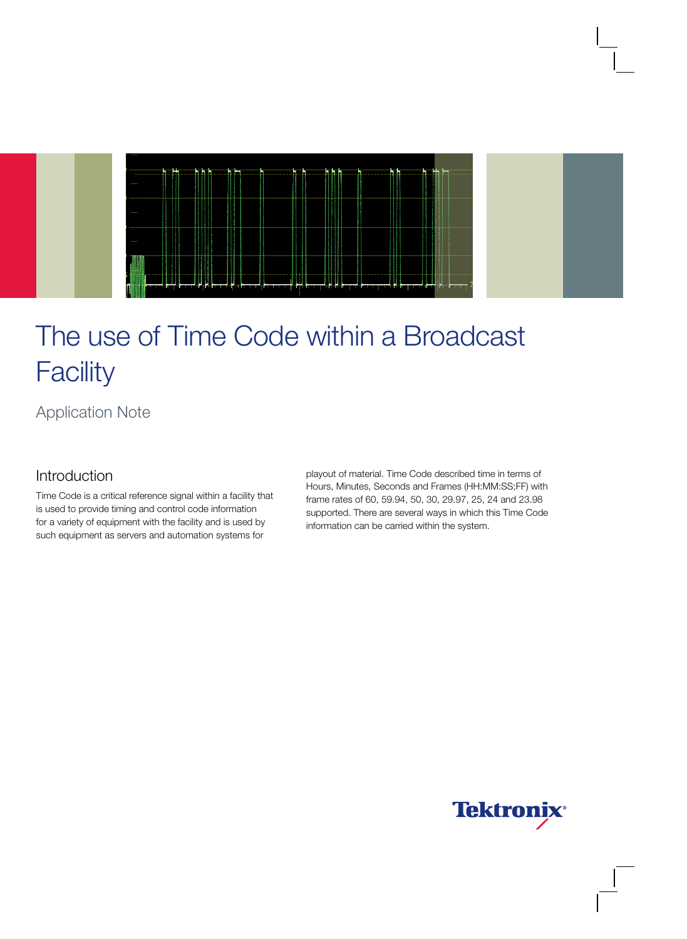

Application Note

# Introduction

Time Code is a critical reference signal within a facility that is used to provide timing and control code information for a variety of equipment with the facility and is used by such equipment as servers and automation systems for

playout of material. Time Code described time in terms of Hours, Minutes, Seconds and Frames (HH:MM:SS;FF) with frame rates of 60, 59.94, 50, 30, 29.97, 25, 24 and 23.98 supported. There are several ways in which this Time Code information can be carried within the system.

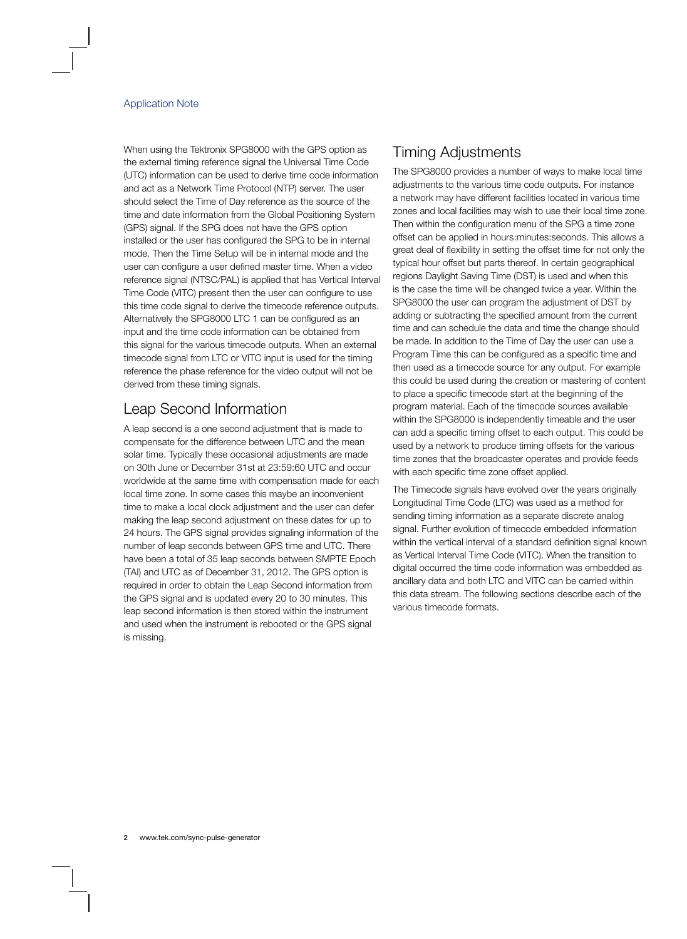When using the Tektronix SPG8000 with the GPS option as the external timing reference signal the Universal Time Code (UTC) information can be used to derive time code information and act as a Network Time Protocol (NTP) server. The user should select the Time of Day reference as the source of the time and date information from the Global Positioning System (GPS) signal. If the SPG does not have the GPS option installed or the user has configured the SPG to be in internal mode. Then the Time Setup will be in internal mode and the user can configure a user defined master time. When a video reference signal (NTSC/PAL) is applied that has Vertical Interval Time Code (VITC) present then the user can configure to use this time code signal to derive the timecode reference outputs. Alternatively the SPG8000 LTC 1 can be configured as an input and the time code information can be obtained from this signal for the various timecode outputs. When an external timecode signal from LTC or VITC input is used for the timing reference the phase reference for the video output will not be derived from these timing signals.

# Leap Second Information

A leap second is a one second adjustment that is made to compensate for the difference between UTC and the mean solar time. Typically these occasional adjustments are made on 30th June or December 31st at 23:59:60 UTC and occur worldwide at the same time with compensation made for each local time zone. In some cases this maybe an inconvenient time to make a local clock adjustment and the user can defer making the leap second adjustment on these dates for up to 24 hours. The GPS signal provides signaling information of the number of leap seconds between GPS time and UTC. There have been a total of 35 leap seconds between SMPTE Epoch (TAI) and UTC as of December 31, 2012. The GPS option is required in order to obtain the Leap Second information from the GPS signal and is updated every 20 to 30 minutes. This leap second information is then stored within the instrument and used when the instrument is rebooted or the GPS signal is missing.

## Timing Adjustments

The SPG8000 provides a number of ways to make local time adjustments to the various time code outputs. For instance a network may have different facilities located in various time zones and local facilities may wish to use their local time zone. Then within the configuration menu of the SPG a time zone offset can be applied in hours:minutes:seconds. This allows a great deal of flexibility in setting the offset time for not only the typical hour offset but parts thereof. In certain geographical regions Daylight Saving Time (DST) is used and when this is the case the time will be changed twice a year. Within the SPG8000 the user can program the adjustment of DST by adding or subtracting the specified amount from the current time and can schedule the data and time the change should be made. In addition to the Time of Day the user can use a Program Time this can be configured as a specific time and then used as a timecode source for any output. For example this could be used during the creation or mastering of content to place a specific timecode start at the beginning of the program material. Each of the timecode sources available within the SPG8000 is independently timeable and the user can add a specific timing offset to each output. This could be used by a network to produce timing offsets for the various time zones that the broadcaster operates and provide feeds with each specific time zone offset applied.

The Timecode signals have evolved over the years originally Longitudinal Time Code (LTC) was used as a method for sending timing information as a separate discrete analog signal. Further evolution of timecode embedded information within the vertical interval of a standard definition signal known as Vertical Interval Time Code (VITC). When the transition to digital occurred the time code information was embedded as ancillary data and both LTC and VITC can be carried within this data stream. The following sections describe each of the various timecode formats.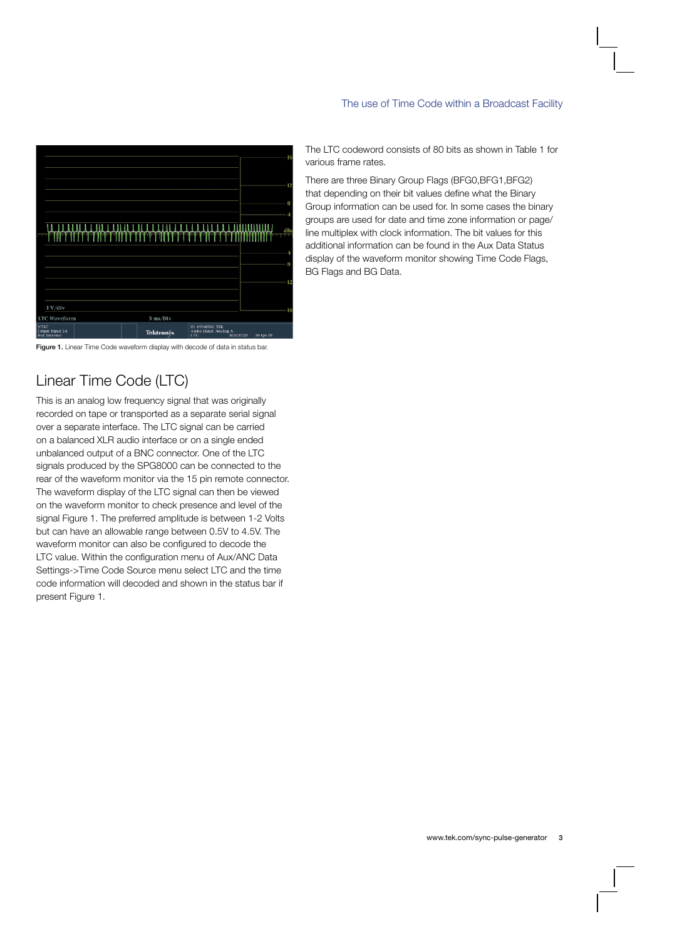

Figure 1. Linear Time Code waveform display with decode of data in status bar.

# Linear Time Code (LTC)

This is an analog low frequency signal that was originally recorded on tape or transported as a separate serial signal over a separate interface. The LTC signal can be carried on a balanced XLR audio interface or on a single ended unbalanced output of a BNC connector. One of the LTC signals produced by the SPG8000 can be connected to the rear of the waveform monitor via the 15 pin remote connector. The waveform display of the LTC signal can then be viewed on the waveform monitor to check presence and level of the signal Figure 1. The preferred amplitude is between 1-2 Volts but can have an allowable range between 0.5V to 4.5V. The waveform monitor can also be configured to decode the LTC value. Within the configuration menu of Aux/ANC Data Settings->Time Code Source menu select LTC and the time code information will decoded and shown in the status bar if present Figure 1.

The LTC codeword consists of 80 bits as shown in Table 1 for various frame rates.

There are three Binary Group Flags (BFG0,BFG1,BFG2) that depending on their bit values define what the Binary Group information can be used for. In some cases the binary groups are used for date and time zone information or page/ line multiplex with clock information. The bit values for this additional information can be found in the Aux Data Status display of the waveform monitor showing Time Code Flags, BG Flags and BG Data.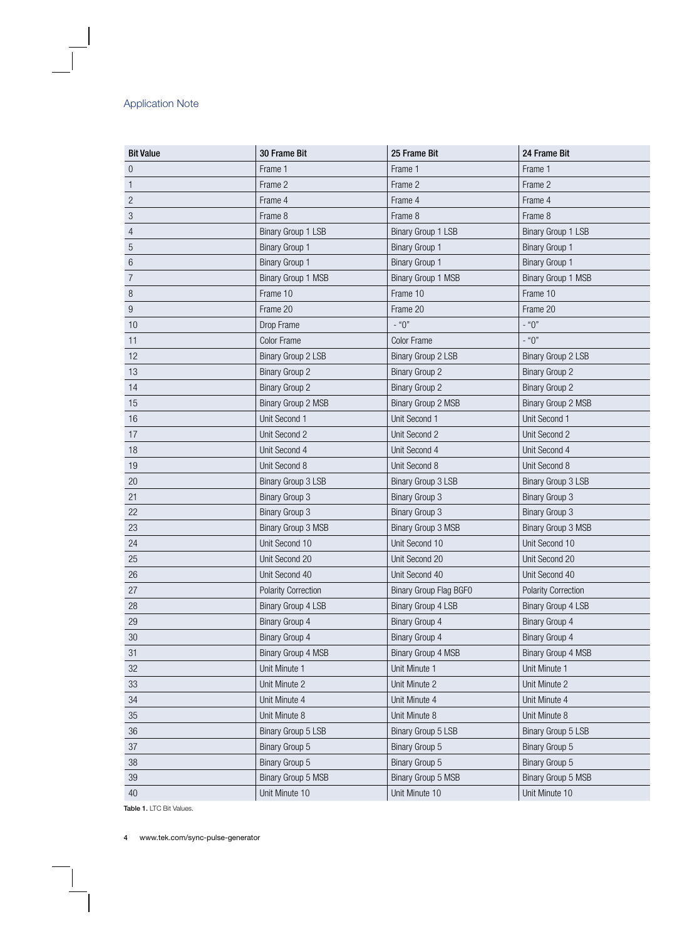| <b>Bit Value</b> | 30 Frame Bit               | 25 Frame Bit              | 24 Frame Bit               |
|------------------|----------------------------|---------------------------|----------------------------|
| $\boldsymbol{0}$ | Frame 1                    | Frame 1                   | Frame 1                    |
| $\mathbf{1}$     | Frame 2                    | Frame 2                   | Frame 2                    |
| $\sqrt{2}$       | Frame 4                    | Frame 4                   | Frame 4                    |
| $\sqrt{3}$       | Frame 8                    | Frame 8                   | Frame 8                    |
| $\overline{4}$   | Binary Group 1 LSB         | Binary Group 1 LSB        | Binary Group 1 LSB         |
| $\sqrt{5}$       | <b>Binary Group 1</b>      | <b>Binary Group 1</b>     | <b>Binary Group 1</b>      |
| $6\,$            | <b>Binary Group 1</b>      | <b>Binary Group 1</b>     | <b>Binary Group 1</b>      |
| $\boldsymbol{7}$ | Binary Group 1 MSB         | Binary Group 1 MSB        | Binary Group 1 MSB         |
| $\, 8$           | Frame 10                   | Frame 10                  | Frame 10                   |
| $9\,$            | Frame 20                   | Frame 20                  | Frame 20                   |
| 10               | Drop Frame                 | $-$ "0"                   | $-$ "0"                    |
| 11               | <b>Color Frame</b>         | <b>Color Frame</b>        | $-$ "0"                    |
| 12               | Binary Group 2 LSB         | <b>Binary Group 2 LSB</b> | Binary Group 2 LSB         |
| 13               | <b>Binary Group 2</b>      | <b>Binary Group 2</b>     | <b>Binary Group 2</b>      |
| 14               | <b>Binary Group 2</b>      | <b>Binary Group 2</b>     | <b>Binary Group 2</b>      |
| 15               | Binary Group 2 MSB         | Binary Group 2 MSB        | Binary Group 2 MSB         |
| 16               | Unit Second 1              | Unit Second 1             | Unit Second 1              |
| 17               | Unit Second 2              | Unit Second 2             | Unit Second 2              |
| 18               | Unit Second 4              | Unit Second 4             | Unit Second 4              |
| 19               | Unit Second 8              | Unit Second 8             | Unit Second 8              |
| 20               | Binary Group 3 LSB         | Binary Group 3 LSB        | Binary Group 3 LSB         |
| 21               | <b>Binary Group 3</b>      | <b>Binary Group 3</b>     | <b>Binary Group 3</b>      |
| 22               | <b>Binary Group 3</b>      | <b>Binary Group 3</b>     | <b>Binary Group 3</b>      |
| 23               | Binary Group 3 MSB         | Binary Group 3 MSB        | Binary Group 3 MSB         |
| 24               | Unit Second 10             | Unit Second 10            | Unit Second 10             |
| 25               | Unit Second 20             | Unit Second 20            | Unit Second 20             |
| 26               | Unit Second 40             | Unit Second 40            | Unit Second 40             |
| 27               | <b>Polarity Correction</b> | Binary Group Flag BGF0    | <b>Polarity Correction</b> |
| 28               | <b>Binary Group 4 LSB</b>  | Binary Group 4 LSB        | Binary Group 4 LSB         |
| 29               | Binary Group 4             | Binary Group 4            | Binary Group 4             |
| $30\,$           | <b>Binary Group 4</b>      | <b>Binary Group 4</b>     | Binary Group 4             |
| 31               | Binary Group 4 MSB         | Binary Group 4 MSB        | Binary Group 4 MSB         |
| 32               | Unit Minute 1              | Unit Minute 1             | Unit Minute 1              |
| 33               | Unit Minute 2              | Unit Minute 2             | Unit Minute 2              |
| 34               | Unit Minute 4              | Unit Minute 4             | Unit Minute 4              |
| 35               | Unit Minute 8              | Unit Minute 8             | Unit Minute 8              |
| 36               | <b>Binary Group 5 LSB</b>  | Binary Group 5 LSB        | Binary Group 5 LSB         |
| 37               | Binary Group 5             | Binary Group 5            | Binary Group 5             |
| 38               | Binary Group 5             | Binary Group 5            | Binary Group 5             |
| $39\,$           | Binary Group 5 MSB         | Binary Group 5 MSB        | Binary Group 5 MSB         |
| 40               | Unit Minute 10             | Unit Minute 10            | Unit Minute 10             |

Table 1. LTC Bit Values.

 $\overline{\phantom{a}}$ 

www.tek.com/sync-pulse-generator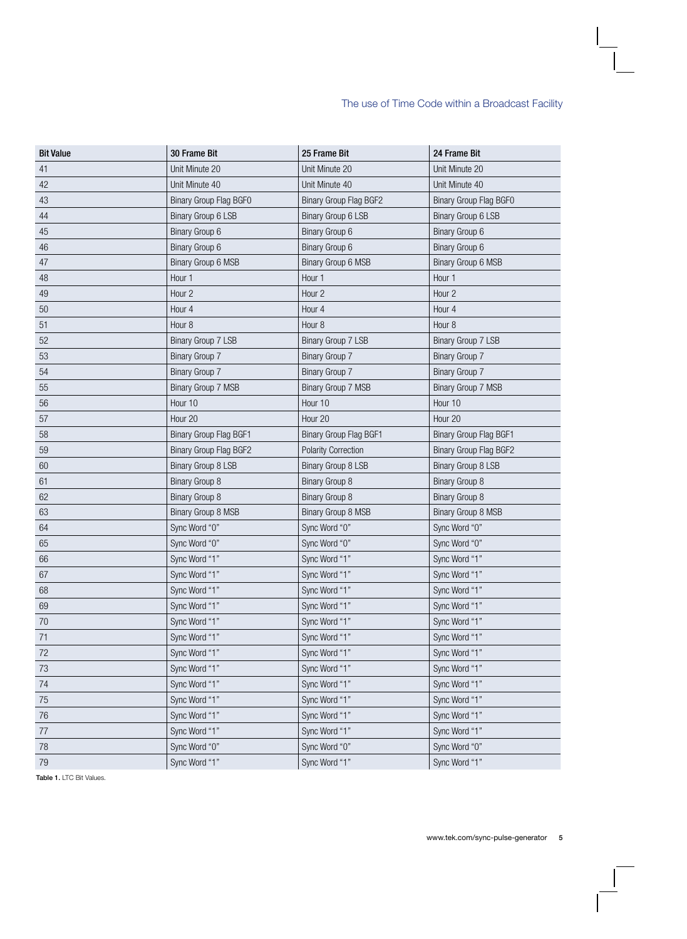| <b>Bit Value</b> | 30 Frame Bit           | 25 Frame Bit               | 24 Frame Bit              |
|------------------|------------------------|----------------------------|---------------------------|
| 41               | Unit Minute 20         | Unit Minute 20             | Unit Minute 20            |
| 42               | Unit Minute 40         | Unit Minute 40             | Unit Minute 40            |
| 43               | Binary Group Flag BGF0 | Binary Group Flag BGF2     | Binary Group Flag BGF0    |
| 44               | Binary Group 6 LSB     | Binary Group 6 LSB         | <b>Binary Group 6 LSB</b> |
| 45               | Binary Group 6         | Binary Group 6             | Binary Group 6            |
| 46               | Binary Group 6         | Binary Group 6             | Binary Group 6            |
| 47               | Binary Group 6 MSB     | Binary Group 6 MSB         | Binary Group 6 MSB        |
| 48               | Hour 1                 | Hour 1                     | Hour 1                    |
| 49               | Hour <sub>2</sub>      | Hour <sub>2</sub>          | Hour <sub>2</sub>         |
| 50               | Hour 4                 | Hour 4                     | Hour 4                    |
| 51               | Hour <sub>8</sub>      | Hour <sub>8</sub>          | Hour <sub>8</sub>         |
| 52               | Binary Group 7 LSB     | Binary Group 7 LSB         | <b>Binary Group 7 LSB</b> |
| 53               | <b>Binary Group 7</b>  | <b>Binary Group 7</b>      | <b>Binary Group 7</b>     |
| 54               | <b>Binary Group 7</b>  | Binary Group 7             | <b>Binary Group 7</b>     |
| 55               | Binary Group 7 MSB     | <b>Binary Group 7 MSB</b>  | Binary Group 7 MSB        |
| 56               | Hour 10                | Hour 10                    | Hour 10                   |
| 57               | Hour 20                | Hour 20                    | Hour 20                   |
| 58               | Binary Group Flag BGF1 | Binary Group Flag BGF1     | Binary Group Flag BGF1    |
| 59               | Binary Group Flag BGF2 | <b>Polarity Correction</b> | Binary Group Flag BGF2    |
| 60               | Binary Group 8 LSB     | Binary Group 8 LSB         | <b>Binary Group 8 LSB</b> |
| 61               | <b>Binary Group 8</b>  | <b>Binary Group 8</b>      | <b>Binary Group 8</b>     |
| 62               | <b>Binary Group 8</b>  | <b>Binary Group 8</b>      | <b>Binary Group 8</b>     |
| 63               | Binary Group 8 MSB     | Binary Group 8 MSB         | <b>Binary Group 8 MSB</b> |
| 64               | Sync Word "0"          | Sync Word "0"              | Sync Word "0"             |
| 65               | Sync Word "0"          | Sync Word "0"              | Sync Word "0"             |
| 66               | Sync Word "1"          | Sync Word "1"              | Sync Word "1"             |
| 67               | Sync Word "1"          | Sync Word "1"              | Sync Word "1"             |
| 68               | Sync Word "1"          | Sync Word "1"              | Sync Word "1"             |
| 69               | Sync Word "1"          | Sync Word "1"              | Sync Word "1"             |
| 70               | Sync Word "1"          | Sync Word "1"              | Sync Word "1"             |
| 71               | Sync Word "1"          | Sync Word "1"              | Sync Word "1"             |
| 72               | Sync Word "1"          | Sync Word "1"              | Sync Word "1"             |
| 73               | Sync Word "1"          | Sync Word "1"              | Sync Word "1"             |
| 74               | Sync Word "1"          | Sync Word "1"              | Sync Word "1"             |
| 75               | Sync Word "1"          | Sync Word "1"              | Sync Word "1"             |
| 76               | Sync Word "1"          | Sync Word "1"              | Sync Word "1"             |
| 77               | Sync Word "1"          | Sync Word "1"              | Sync Word "1"             |
| 78               | Sync Word "0"          | Sync Word "0"              | Sync Word "0"             |
| 79               | Sync Word "1"          | Sync Word "1"              | Sync Word "1"             |

Table 1. LTC Bit Values.

 $\mathbf{I}$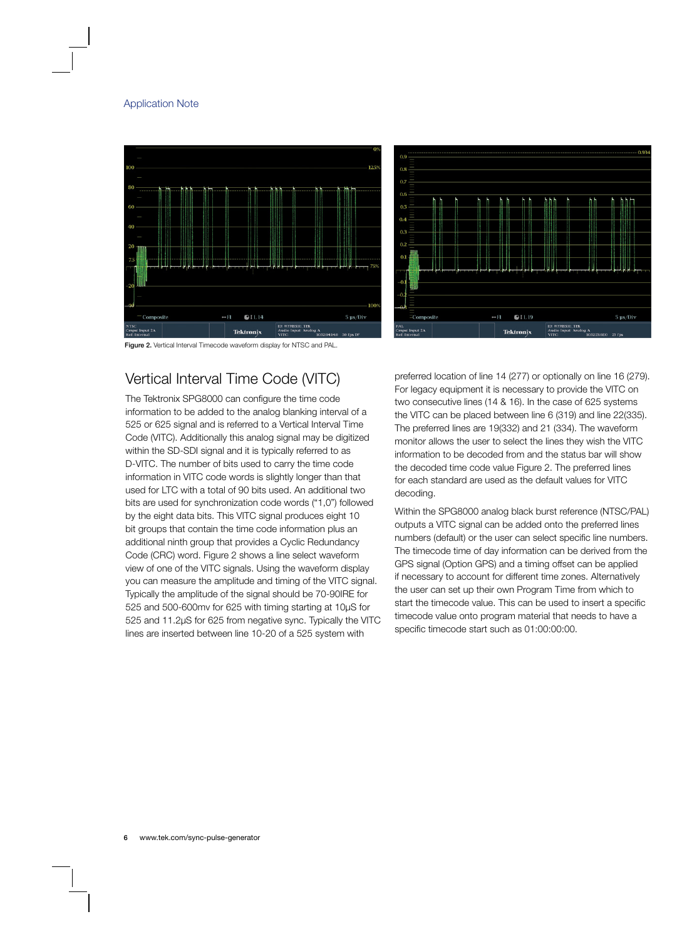



Figure 2. Vertical Interval Timecode waveform display for NTSC and PAL.

# Vertical Interval Time Code (VITC)

The Tektronix SPG8000 can configure the time code information to be added to the analog blanking interval of a 525 or 625 signal and is referred to a Vertical Interval Time Code (VITC). Additionally this analog signal may be digitized within the SD-SDI signal and it is typically referred to as D-VITC. The number of bits used to carry the time code information in VITC code words is slightly longer than that used for LTC with a total of 90 bits used. An additional two bits are used for synchronization code words ("1,0") followed by the eight data bits. This VITC signal produces eight 10 bit groups that contain the time code information plus an additional ninth group that provides a Cyclic Redundancy Code (CRC) word. Figure 2 shows a line select waveform view of one of the VITC signals. Using the waveform display you can measure the amplitude and timing of the VITC signal. Typically the amplitude of the signal should be 70-90IRE for 525 and 500-600mv for 625 with timing starting at 10µS for 525 and 11.2µS for 625 from negative sync. Typically the VITC lines are inserted between line 10-20 of a 525 system with

preferred location of line 14 (277) or optionally on line 16 (279). For legacy equipment it is necessary to provide the VITC on two consecutive lines (14 & 16). In the case of 625 systems the VITC can be placed between line 6 (319) and line 22(335). The preferred lines are 19(332) and 21 (334). The waveform monitor allows the user to select the lines they wish the VITC information to be decoded from and the status bar will show the decoded time code value Figure 2. The preferred lines for each standard are used as the default values for VITC decoding.

Within the SPG8000 analog black burst reference (NTSC/PAL) outputs a VITC signal can be added onto the preferred lines numbers (default) or the user can select specific line numbers. The timecode time of day information can be derived from the GPS signal (Option GPS) and a timing offset can be applied if necessary to account for different time zones. Alternatively the user can set up their own Program Time from which to start the timecode value. This can be used to insert a specific timecode value onto program material that needs to have a specific timecode start such as 01:00:00:00.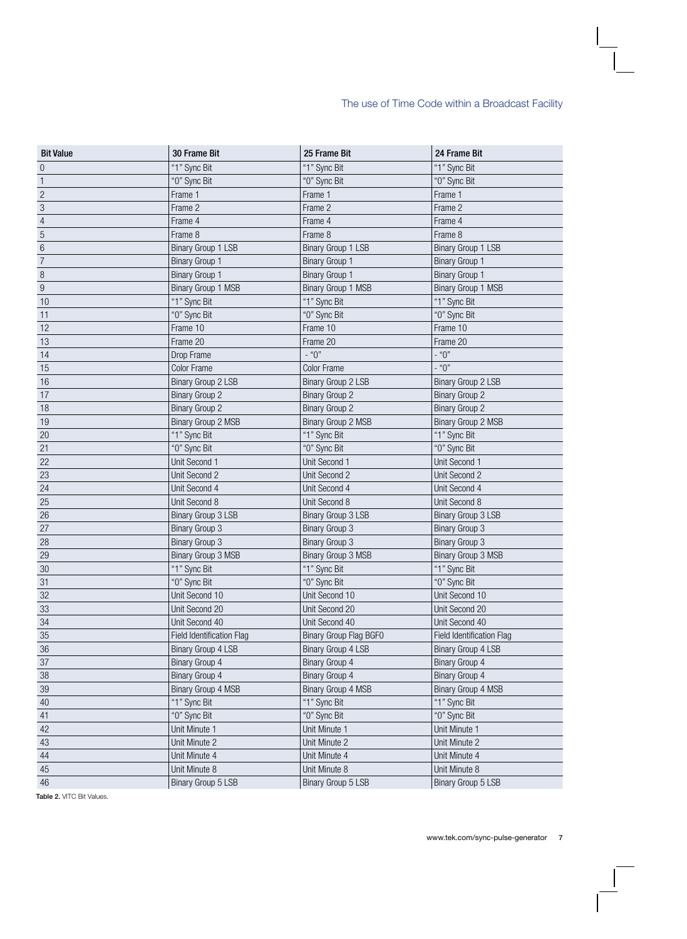| <b>Bit Value</b> | 30 Frame Bit              | 25 Frame Bit              | 24 Frame Bit              |
|------------------|---------------------------|---------------------------|---------------------------|
| $\,0\,$          | "1" Sync Bit              | "1" Sync Bit              | "1" Sync Bit              |
| $\overline{1}$   | "O" Sync Bit              | "O" Sync Bit              | "O" Sync Bit              |
| $\overline{c}$   | Frame 1                   | Frame 1                   | Frame 1                   |
| $\sqrt{3}$       | Frame 2                   | Frame 2                   | Frame 2                   |
| $\overline{4}$   | Frame 4                   | Frame 4                   | Frame 4                   |
| $\overline{5}$   | Frame 8                   | Frame 8                   | Frame 8                   |
| $\overline{6}$   | Binary Group 1 LSB        | Binary Group 1 LSB        | Binary Group 1 LSB        |
| $\overline{7}$   | <b>Binary Group 1</b>     | <b>Binary Group 1</b>     | <b>Binary Group 1</b>     |
| 8                | <b>Binary Group 1</b>     | <b>Binary Group 1</b>     | <b>Binary Group 1</b>     |
| 9                | Binary Group 1 MSB        | Binary Group 1 MSB        | Binary Group 1 MSB        |
| 10               | "1" Sync Bit              | "1" Sync Bit              | "1" Sync Bit              |
| 11               | "O" Sync Bit              | "O" Sync Bit              | "O" Sync Bit              |
| 12               | Frame 10                  | Frame 10                  | Frame 10                  |
| 13               | Frame 20                  | Frame 20                  | Frame 20                  |
| 14               | Drop Frame                | $-$ "0"                   | $-$ "0"                   |
| 15               | <b>Color Frame</b>        | <b>Color Frame</b>        | $-$ "0"                   |
| 16               | <b>Binary Group 2 LSB</b> | Binary Group 2 LSB        | Binary Group 2 LSB        |
| 17               | <b>Binary Group 2</b>     | <b>Binary Group 2</b>     | <b>Binary Group 2</b>     |
| 18               | <b>Binary Group 2</b>     | <b>Binary Group 2</b>     | <b>Binary Group 2</b>     |
| 19               | Binary Group 2 MSB        | Binary Group 2 MSB        | Binary Group 2 MSB        |
| 20               | "1" Sync Bit              | "1" Sync Bit              | "1" Sync Bit              |
| 21               | "O" Sync Bit              | "O" Sync Bit              | "O" Sync Bit              |
| 22               | Unit Second 1             | Unit Second 1             | Unit Second 1             |
| 23               | Unit Second 2             | Unit Second 2             | Unit Second 2             |
| 24               | Unit Second 4             | Unit Second 4             | Unit Second 4             |
| 25               | Unit Second 8             | Unit Second 8             | Unit Second 8             |
| 26               | Binary Group 3 LSB        | Binary Group 3 LSB        | <b>Binary Group 3 LSB</b> |
| 27               | <b>Binary Group 3</b>     | <b>Binary Group 3</b>     | <b>Binary Group 3</b>     |
| 28               | <b>Binary Group 3</b>     | <b>Binary Group 3</b>     | <b>Binary Group 3</b>     |
| 29               | <b>Binary Group 3 MSB</b> | <b>Binary Group 3 MSB</b> | Binary Group 3 MSB        |
| 30               | "1" Sync Bit              | "1" Sync Bit              | "1" Sync Bit              |
| 31               | "O" Sync Bit              | "O" Sync Bit              | "0" Sync Bit              |
| 32               | Unit Second 10            | Unit Second 10            | Unit Second 10            |
| 33               | Unit Second 20            | Unit Second 20            | Unit Second 20            |
| 34               | Unit Second 40            | Unit Second 40            | Unit Second 40            |
| 35               | Field Identification Flag | Binary Group Flag BGF0    | Field Identification Flag |
| 36               | Binary Group 4 LSB        | <b>Binary Group 4 LSB</b> | Binary Group 4 LSB        |
| 37               | Binary Group 4            | Binary Group 4            | Binary Group 4            |
| 38               | Binary Group 4            | <b>Binary Group 4</b>     | Binary Group 4            |
| 39               | <b>Binary Group 4 MSB</b> | Binary Group 4 MSB        | Binary Group 4 MSB        |
| 40               | "1" Sync Bit              | "1" Sync Bit              | "1" Sync Bit              |
| 41               | "O" Sync Bit              | "O" Sync Bit              | "O" Sync Bit              |
| 42               | Unit Minute 1             | Unit Minute 1             | Unit Minute 1             |
| 43               | Unit Minute 2             | Unit Minute 2             | Unit Minute 2             |
| 44               | Unit Minute 4             | Unit Minute 4             | Unit Minute 4             |
| 45               | Unit Minute 8             | Unit Minute 8             | Unit Minute 8             |
| 46               | Binary Group 5 LSB        | Binary Group 5 LSB        | Binary Group 5 LSB        |
|                  |                           |                           |                           |

Table 2. VITC Bit Values.

 $\mathbf{I}$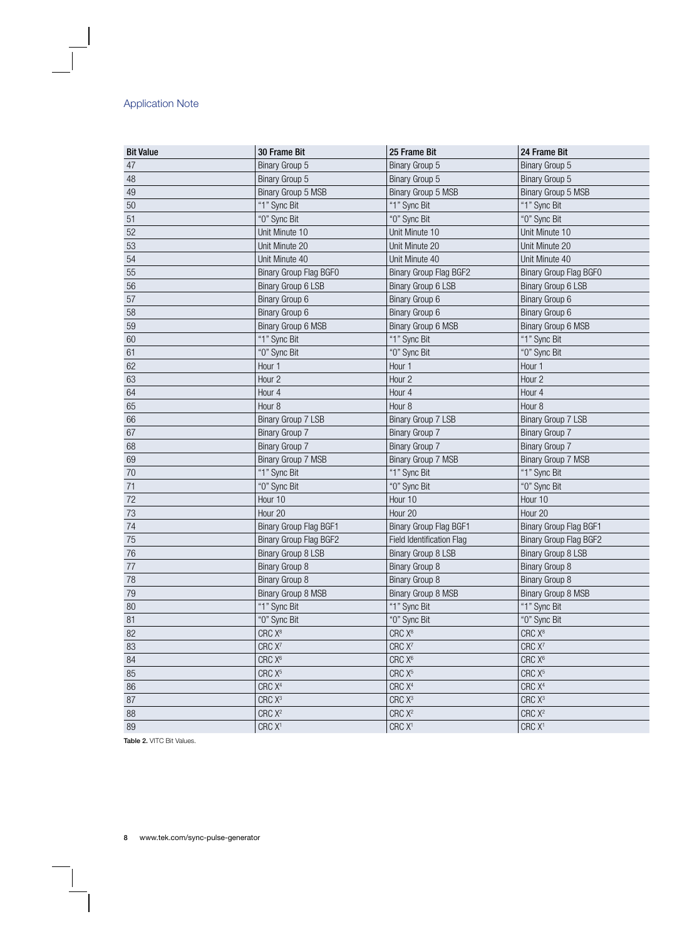| <b>Bit Value</b> | 30 Frame Bit                  | 25 Frame Bit              | 24 Frame Bit                  |
|------------------|-------------------------------|---------------------------|-------------------------------|
| 47               | Binary Group 5                | Binary Group 5            | Binary Group 5                |
| 48               | Binary Group 5                | Binary Group 5            | Binary Group 5                |
| 49               | Binary Group 5 MSB            | Binary Group 5 MSB        | Binary Group 5 MSB            |
| 50               | "1" Sync Bit                  | "1" Sync Bit              | "1" Sync Bit                  |
| 51               | "O" Sync Bit                  | "0" Sync Bit              | "O" Sync Bit                  |
| 52               | Unit Minute 10                | Unit Minute 10            | Unit Minute 10                |
| 53               | Unit Minute 20                | Unit Minute 20            | Unit Minute 20                |
| 54               | Unit Minute 40                | Unit Minute 40            | Unit Minute 40                |
| 55               | Binary Group Flag BGF0        | Binary Group Flag BGF2    | Binary Group Flag BGF0        |
| 56               | <b>Binary Group 6 LSB</b>     | Binary Group 6 LSB        | Binary Group 6 LSB            |
| 57               | Binary Group 6                | Binary Group 6            | Binary Group 6                |
| 58               | Binary Group 6                | Binary Group 6            | Binary Group 6                |
| 59               | Binary Group 6 MSB            | Binary Group 6 MSB        | Binary Group 6 MSB            |
| 60               | "1" Sync Bit                  | "1" Sync Bit              | "1" Sync Bit                  |
| 61               | "O" Sync Bit                  | "0" Sync Bit              | "O" Sync Bit                  |
| 62               | Hour 1                        | Hour 1                    | Hour 1                        |
| 63               | Hour 2                        | Hour <sub>2</sub>         | Hour <sub>2</sub>             |
| 64               | Hour 4                        | Hour 4                    | Hour 4                        |
| 65               | Hour <sub>8</sub>             | Hour <sub>8</sub>         | Hour <sub>8</sub>             |
| 66               | Binary Group 7 LSB            | <b>Binary Group 7 LSB</b> | Binary Group 7 LSB            |
| 67               | <b>Binary Group 7</b>         | Binary Group 7            | <b>Binary Group 7</b>         |
| 68               | <b>Binary Group 7</b>         | Binary Group 7            | <b>Binary Group 7</b>         |
| 69               | Binary Group 7 MSB            | Binary Group 7 MSB        | Binary Group 7 MSB            |
| 70               | "1" Sync Bit                  | "1" Sync Bit              | "1" Sync Bit                  |
| 71               | "O" Sync Bit                  | "0" Sync Bit              | "O" Sync Bit                  |
| 72               | Hour 10                       | Hour 10                   | Hour 10                       |
| 73               | Hour 20                       | Hour 20                   | Hour 20                       |
| 74               | <b>Binary Group Flag BGF1</b> | Binary Group Flag BGF1    | <b>Binary Group Flag BGF1</b> |
| 75               | Binary Group Flag BGF2        | Field Identification Flag | Binary Group Flag BGF2        |
| 76               | Binary Group 8 LSB            | Binary Group 8 LSB        | Binary Group 8 LSB            |
| 77               | <b>Binary Group 8</b>         | Binary Group 8            | Binary Group 8                |
| 78               | <b>Binary Group 8</b>         | Binary Group 8            | <b>Binary Group 8</b>         |
| 79               | Binary Group 8 MSB            | Binary Group 8 MSB        | Binary Group 8 MSB            |
| 80               | "1" Sync Bit                  | "1" Sync Bit              | "1" Sync Bit                  |
| 81               | "O" Sync Bit                  | "0" Sync Bit              | "0" Sync Bit                  |
| 82               | CRC X <sup>8</sup>            | CRC X <sup>8</sup>        | CRC X <sup>8</sup>            |
| 83               | CRC X <sup>7</sup>            | CRC X <sup>7</sup>        | CRC X <sup>7</sup>            |
| 84               | CRC X <sup>6</sup>            | CRC X <sup>6</sup>        | CRC X <sup>6</sup>            |
| 85               | CRC X <sup>5</sup>            | CRC $X^5$                 | CRC X <sup>5</sup>            |
| 86               | CRC X <sup>4</sup>            | CRC X <sup>4</sup>        | CRC X <sup>4</sup>            |
| 87               | CRC X <sup>3</sup>            | CRC X <sup>3</sup>        | CRC X <sup>3</sup>            |
| 88               | CRC X <sup>2</sup>            | CRC X <sup>2</sup>        | CRC X <sup>2</sup>            |
| 89               | CRC X <sup>1</sup>            | CRC X <sup>1</sup>        | CRC X <sup>1</sup>            |

Table 2. VITC Bit Values.

 $\begin{array}{c} \hline \end{array}$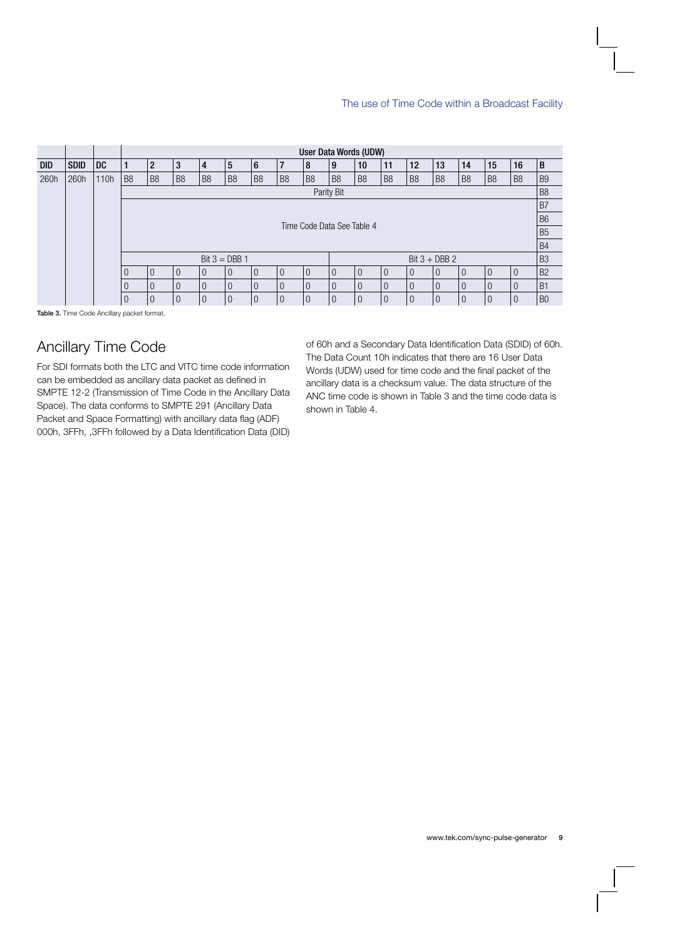|            |             |      |                                                      | User Data Words (UDW)        |                |                |                |                |                |                |                |                |                |                |                |                |                |                |                |
|------------|-------------|------|------------------------------------------------------|------------------------------|----------------|----------------|----------------|----------------|----------------|----------------|----------------|----------------|----------------|----------------|----------------|----------------|----------------|----------------|----------------|
| <b>DID</b> | <b>SDID</b> | DC.  |                                                      | $\overline{2}$               | 3              | 4              | 5              | 6              | $\overline{7}$ | 8              | 9              | 10             | 11             | 12             | 13             | 14             | 15             | 16             | $\sf{B}$       |
| 260h       | 260h        | 110h | B <sub>8</sub>                                       | B <sub>8</sub>               | B <sub>8</sub> | B <sub>8</sub> | B <sub>8</sub> | B <sub>8</sub> | B <sub>8</sub> | B <sub>8</sub> | B <sub>8</sub> | B <sub>8</sub> | B <sub>8</sub> | B <sub>8</sub> | B <sub>8</sub> | B <sub>8</sub> | B <sub>8</sub> | B <sub>8</sub> | B <sub>9</sub> |
|            |             |      |                                                      | B <sub>8</sub><br>Parity Bit |                |                |                |                |                |                |                |                |                |                |                |                |                |                |                |
|            |             |      | B7                                                   |                              |                |                |                |                |                |                |                |                |                |                |                |                |                |                |                |
|            |             |      | B <sub>6</sub><br>Time Code Data See Table 4         |                              |                |                |                |                |                |                |                |                |                |                |                |                |                |                |                |
|            |             |      |                                                      |                              |                |                |                |                |                |                |                |                |                |                |                |                |                |                | B <sub>5</sub> |
|            |             |      |                                                      |                              |                |                |                |                |                |                |                |                |                |                |                |                |                |                | <b>B4</b>      |
|            |             |      | B <sub>3</sub><br>Bit $3 + DBB 2$<br>Bit $3 = DBB$ 1 |                              |                |                |                |                |                |                |                |                |                |                |                |                |                |                |                |
|            |             |      | $\overline{0}$                                       | $\Omega$                     | $\Omega$       | $\Omega$       | $\Omega$       | $\Omega$       | $\Omega$       | $\Omega$       | $\Omega$       | $\Omega$       | $\theta$       | $\Omega$       | $\Omega$       | $\Omega$       | $\Omega$       | $\overline{0}$ | B <sub>2</sub> |
|            |             |      | $\overline{0}$                                       | $\Omega$                     | $\overline{0}$ | $\Omega$       | $\Omega$       | $\Omega$       | $\Omega$       | $\Omega$       | $\Omega$       | $\Omega$       | $\Omega$       | $\Omega$       | $\Omega$       | $\Omega$       | $\Omega$       | $\overline{0}$ | B <sub>1</sub> |
|            |             |      | $\overline{0}$                                       | $\overline{0}$               | $\overline{0}$ | $\Omega$       | $\Omega$       | $\theta$       | $\theta$       | $\overline{0}$ | $\overline{0}$ | $\overline{0}$ | $\overline{0}$ | $\Omega$       | $\Omega$       | $\Omega$       | $\theta$       | $\overline{0}$ | B <sub>0</sub> |

Table 3. Time Code Ancillary packet format.

# Ancillary Time Code

For SDI formats both the LTC and VITC time code information can be embedded as ancillary data packet as defined in SMPTE 12-2 (Transmission of Time Code in the Ancillary Data Space). The data conforms to SMPTE 291 (Ancillary Data Packet and Space Formatting) with ancillary data flag (ADF) 000h, 3FFh, ,3FFh followed by a Data Identification Data (DID)

of 60h and a Secondary Data Identification Data (SDID) of 60h. The Data Count 10h indicates that there are 16 User Data Words (UDW) used for time code and the final packet of the ancillary data is a checksum value. The data structure of the ANC time code is shown in Table 3 and the time code data is shown in Table 4.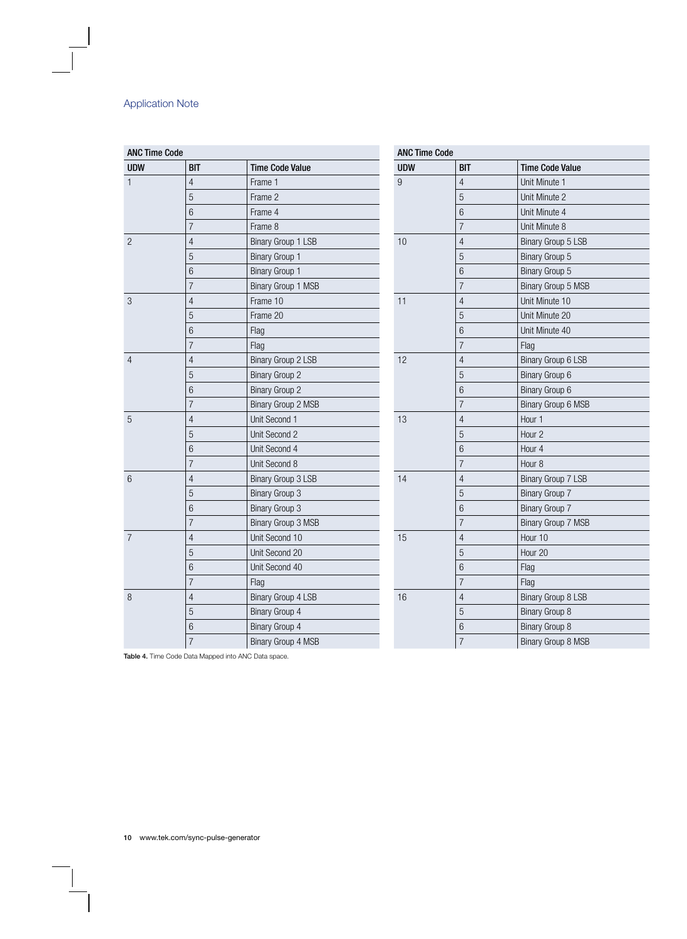| <b>ANC Time Code</b> |                |                        | <b>ANC Time Code</b> |                 |                           |  |  |
|----------------------|----------------|------------------------|----------------------|-----------------|---------------------------|--|--|
| <b>UDW</b>           | <b>BIT</b>     | <b>Time Code Value</b> | <b>UDW</b>           | <b>BIT</b>      | <b>Time Code Value</b>    |  |  |
| $\mathbf{1}$         | $\overline{4}$ | Frame 1                | $\overline{9}$       | $\overline{4}$  | Unit Minute 1             |  |  |
|                      | 5              | Frame 2                |                      | 5               | Unit Minute 2             |  |  |
|                      | 6              | Frame 4                |                      | $\,6$           | Unit Minute 4             |  |  |
|                      | $\overline{7}$ | Frame 8                |                      | $\overline{7}$  | Unit Minute 8             |  |  |
| $\overline{c}$       | $\overline{4}$ | Binary Group 1 LSB     | 10                   | $\overline{4}$  | Binary Group 5 LSB        |  |  |
|                      | 5              | Binary Group 1         |                      | 5               | <b>Binary Group 5</b>     |  |  |
|                      | 6              | <b>Binary Group 1</b>  |                      | $6\,$           | Binary Group 5            |  |  |
|                      | $\overline{7}$ | Binary Group 1 MSB     |                      | $\overline{7}$  | Binary Group 5 MSB        |  |  |
| $\mathbf{3}$         | $\overline{4}$ | Frame 10               | 11                   | $\overline{4}$  | Unit Minute 10            |  |  |
|                      | 5              | Frame 20               |                      | $\overline{5}$  | Unit Minute 20            |  |  |
|                      | 6              | Flag                   |                      | $6\phantom{.}6$ | Unit Minute 40            |  |  |
|                      | $\overline{7}$ | Flag                   |                      | $\overline{7}$  | Flag                      |  |  |
| $\overline{4}$       | $\overline{4}$ | Binary Group 2 LSB     | 12                   | $\overline{4}$  | Binary Group 6 LSB        |  |  |
|                      | 5              | <b>Binary Group 2</b>  |                      | $\mathbf 5$     | Binary Group 6            |  |  |
|                      | 6              | <b>Binary Group 2</b>  |                      | $6\phantom{a}$  | Binary Group 6            |  |  |
|                      | $\overline{7}$ | Binary Group 2 MSB     |                      | $\overline{7}$  | Binary Group 6 MSB        |  |  |
| 5                    | $\overline{4}$ | Unit Second 1          | 13                   | $\overline{4}$  | Hour 1                    |  |  |
|                      | 5              | Unit Second 2          |                      | 5               | Hour <sub>2</sub>         |  |  |
|                      | 6              | Unit Second 4          |                      | $6\,$           | Hour 4                    |  |  |
|                      | $\overline{7}$ | Unit Second 8          |                      | $\overline{7}$  | Hour <sub>8</sub>         |  |  |
| $6\,$                | $\overline{4}$ | Binary Group 3 LSB     | 14                   | $\overline{4}$  | Binary Group 7 LSB        |  |  |
|                      | 5              | <b>Binary Group 3</b>  |                      | 5               | <b>Binary Group 7</b>     |  |  |
|                      | 6              | <b>Binary Group 3</b>  |                      | 6               | <b>Binary Group 7</b>     |  |  |
|                      | $\overline{7}$ | Binary Group 3 MSB     |                      | $\overline{7}$  | Binary Group 7 MSB        |  |  |
| $\overline{7}$       | 4              | Unit Second 10         | 15                   | $\overline{4}$  | Hour 10                   |  |  |
|                      | 5              | Unit Second 20         |                      | $\overline{5}$  | Hour 20                   |  |  |
|                      | 6              | Unit Second 40         |                      | $6\,$           | Flag                      |  |  |
|                      | $\overline{7}$ | Flag                   |                      | $\overline{7}$  | Flag                      |  |  |
| 8                    | $\overline{4}$ | Binary Group 4 LSB     | 16                   | 4               | <b>Binary Group 8 LSB</b> |  |  |
|                      | 5              | Binary Group 4         |                      | $\overline{5}$  | <b>Binary Group 8</b>     |  |  |
|                      | 6              | <b>Binary Group 4</b>  |                      | $6\,$           | <b>Binary Group 8</b>     |  |  |
|                      | $\overline{7}$ | Binary Group 4 MSB     |                      | $\overline{7}$  | Binary Group 8 MSB        |  |  |

Table 4. Time Code Data Mapped into ANC Data space.

 $\begin{array}{c} \hline \end{array}$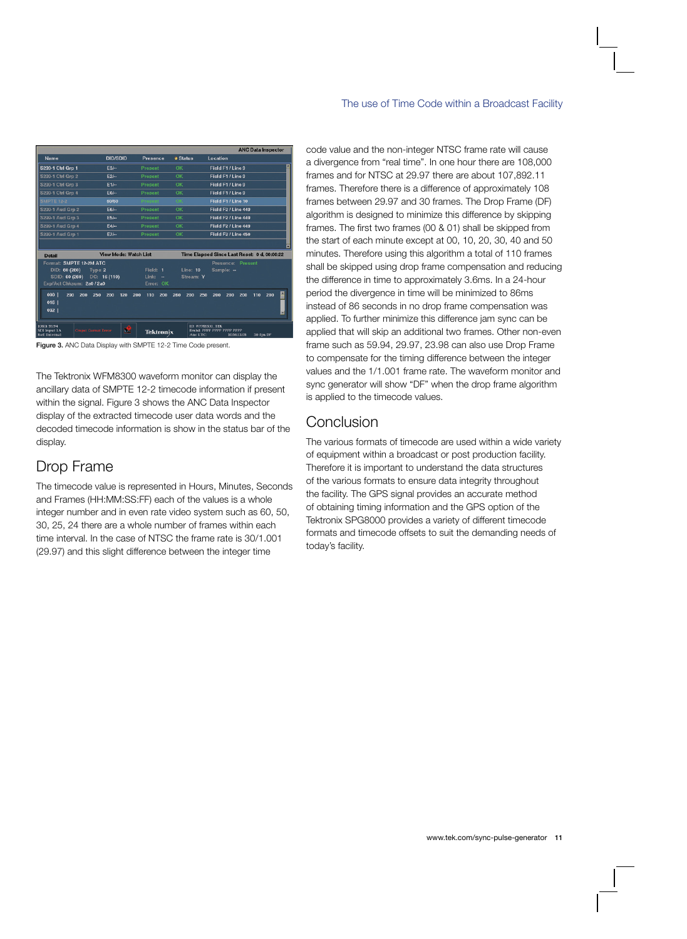|                                                                                         |                                |                                                        |                              |                                                           | <b>ANC Data Inspector</b> |
|-----------------------------------------------------------------------------------------|--------------------------------|--------------------------------------------------------|------------------------------|-----------------------------------------------------------|---------------------------|
| <b>Name</b>                                                                             | <b>DID/SDID</b>                | <b>Presence</b>                                        | <b>a</b> Status              | Location                                                  |                           |
| S299-1 Ctrl Grp 1                                                                       | $E3/-$                         | Present                                                | OK                           | Field F1 / Line 9                                         |                           |
| S299-1 Ctrl Grp 2                                                                       | $E2/-$                         | Present                                                | OK                           | Field F1 / Line 9                                         |                           |
| S299-1 Ctrl Grp 3                                                                       | E1/m                           | <b>Present</b>                                         | OK                           | Field F1 / Line 9                                         |                           |
| S299-1 Ctrl Grp 4                                                                       | $E0/-$                         | Present                                                | OK                           | Field F1 / Line 9                                         |                           |
| <b>SMPTE 12-2</b>                                                                       | 60/60                          | Prosont                                                |                              | Field F1 / Line 10                                        |                           |
| S299-1 Aud Grp 2                                                                        | <b>E6/--</b>                   | Present                                                | <b>OK</b>                    | Field F2 / Line 449                                       |                           |
| S299-1 Aud Grp 3                                                                        | $E5/-$                         | Present                                                | <b>OK</b>                    | Field F2 / Line 449                                       |                           |
| S299-1 Aud Grp 4                                                                        | $E4/-$                         | Present                                                | OK                           | Field F2 / Line 449                                       |                           |
| S299-1 Aud Grp 1                                                                        | $E7/-$                         | <b>Present</b>                                         | OK                           | Field F <sub>2</sub> / Line 450                           |                           |
| <b>Detail</b>                                                                           | <b>View Mode: Watch List</b>   |                                                        |                              | Time Elapsed Since Last Reset: 0 d, 00:00:22              |                           |
| Format: SMPTE 12-2M ATC<br>DID: 60 (260)<br>SDID: 60 (260)<br>Exp/Act Chksum: 2a0 / 2a0 | Type: 2<br>DC: 16(110)         | Field: 1<br>Link:<br>$\ddot{\phantom{0}}$<br>Error: OK | <b>Line: 10</b><br>Stream: Y | Presence:<br>Sample: -                                    | Present                   |
| 000<br>290<br>200<br>016<br>032                                                         | 120<br>250<br>200              | 200<br>200<br>110                                      | 260<br>200                   | 250<br>200<br>200<br>200                                  | ×<br>200<br>110           |
| 1080i 59.94<br>SDI Input 1A<br><b>Ref: Internal</b>                                     | æ<br><b>Crapst Gamut Error</b> | <b>Tektronix</b>                                       | Ane LTC:                     | ID: WFM8300_TEK<br>Embd: PPPP PPPP PPPP PPPP<br>105613:05 | 30 fps DF                 |

Figure 3. ANC Data Display with SMPTE 12-2 Time Code present.

The Tektronix WFM8300 waveform monitor can display the ancillary data of SMPTE 12-2 timecode information if present within the signal. Figure 3 shows the ANC Data Inspector display of the extracted timecode user data words and the decoded timecode information is show in the status bar of the display.

## Drop Frame

The timecode value is represented in Hours, Minutes, Seconds and Frames (HH:MM:SS:FF) each of the values is a whole integer number and in even rate video system such as 60, 50, 30, 25, 24 there are a whole number of frames within each time interval. In the case of NTSC the frame rate is 30/1.001 (29.97) and this slight difference between the integer time

code value and the non-integer NTSC frame rate will cause a divergence from "real time". In one hour there are 108,000 frames and for NTSC at 29.97 there are about 107,892.11 frames. Therefore there is a difference of approximately 108 frames between 29.97 and 30 frames. The Drop Frame (DF) algorithm is designed to minimize this difference by skipping frames. The first two frames (00 & 01) shall be skipped from the start of each minute except at 00, 10, 20, 30, 40 and 50 minutes. Therefore using this algorithm a total of 110 frames shall be skipped using drop frame compensation and reducing the difference in time to approximately 3.6ms. In a 24-hour period the divergence in time will be minimized to 86ms instead of 86 seconds in no drop frame compensation was applied. To further minimize this difference jam sync can be applied that will skip an additional two frames. Other non-even frame such as 59.94, 29.97, 23.98 can also use Drop Frame to compensate for the timing difference between the integer values and the 1/1.001 frame rate. The waveform monitor and sync generator will show "DF" when the drop frame algorithm is applied to the timecode values.

# Conclusion

The various formats of timecode are used within a wide variety of equipment within a broadcast or post production facility. Therefore it is important to understand the data structures of the various formats to ensure data integrity throughout the facility. The GPS signal provides an accurate method of obtaining timing information and the GPS option of the Tektronix SPG8000 provides a variety of different timecode formats and timecode offsets to suit the demanding needs of today's facility.